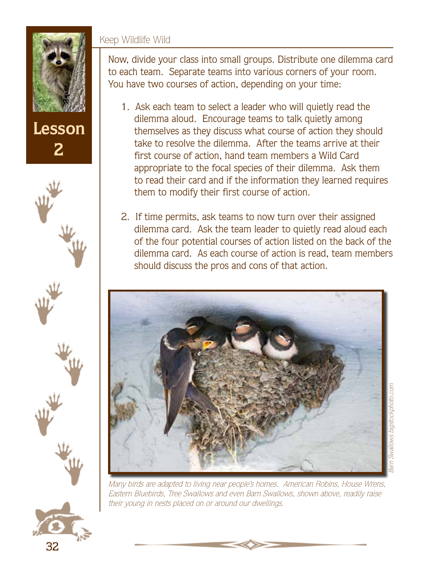#### Keep Wildlife Wild



**2**



- 1. Ask each team to select a leader who will quietly read the dilemma aloud. Encourage teams to talk quietly among themselves as they discuss what course of action they should take to resolve the dilemma. After the teams arrive at their first course of action, hand team members a Wild Card appropriate to the focal species of their dilemma. Ask them to read their card and if the information they learned requires them to modify their first course of action.
- 2. If time permits, ask teams to now turn over their assigned dilemma card. Ask the team leader to quietly read aloud each of the four potential courses of action listed on the back of the dilemma card. As each course of action is read, team members should discuss the pros and cons of that action.



Many birds are adapted to living near people's homes. American Robins, House Wrens, Eastern Bluebirds, Tree Swallows and even Barn Swallows, shown above, readily raise their young in nests placed on or around our dwellings.

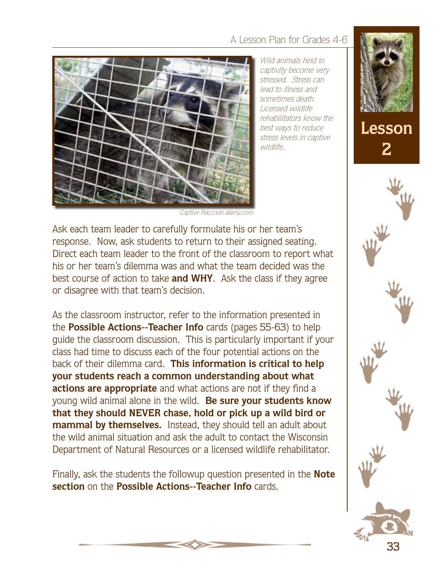#### A Lesson Plan for Grades 4-6



Wild animals held in captivity become very stressed. Stress can lead to illness and sometimes death. Licensed wildlife rehabilitators know the best ways to reduce stress levels in captive wildlife.



Captive Raccoon alamy.com

Ask each team leader to carefully formulate his or her team's response. Now, ask students to return to their assigned seating. Direct each team leader to the front of the classroom to report what his or her team's dilemma was and what the team decided was the best course of action to take **and WHY**. Ask the class if they agree or disagree with that team's decision.

As the classroom instructor, refer to the information presented in the **Possible Actions--Teacher Info** cards (pages 55-63) to help guide the classroom discussion. This is particularly important if your class had time to discuss each of the four potential actions on the back of their dilemma card. **This information is critical to help your students reach a common understanding about what actions are appropriate** and what actions are not if they find a young wild animal alone in the wild. **Be sure your students know that they should NEVER chase, hold or pick up a wild bird or mammal by themselves.** Instead, they should tell an adult about the wild animal situation and ask the adult to contact the Wisconsin Department of Natural Resources or a licensed wildlife rehabilitator.

Finally, ask the students the followup question presented in the **Note section** on the **Possible Actions--Teacher Info** cards.

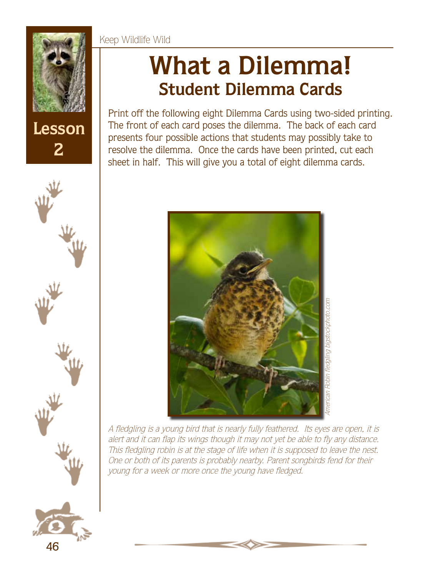



46

# **What a Dilemma! Student Dilemma Cards**

Print off the following eight Dilemma Cards using two-sided printing. The front of each card poses the dilemma. The back of each card presents four possible actions that students may possibly take to resolve the dilemma. Once the cards have been printed, cut each sheet in half. This will give you a total of eight dilemma cards.



A fledgling is a young bird that is nearly fully feathered. Its eyes are open, it is alert and it can flap its wings though it may not yet be able to fly any distance. This fledgling robin is at the stage of life when it is supposed to leave the nest. One or both of its parents is probably nearby. Parent songbirds fend for their young for a week or more once the young have fledged.

#### Keep Wildlife Wild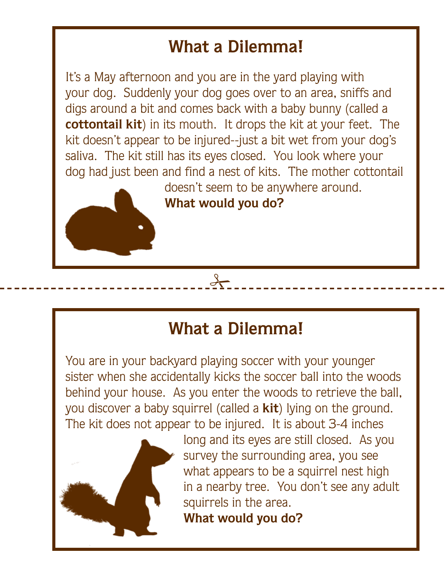It's a May afternoon and you are in the yard playing with your dog. Suddenly your dog goes over to an area, sniffs and digs around a bit and comes back with a baby bunny (called a **cottontail kit**) in its mouth. It drops the kit at your feet. The kit doesn't appear to be injured--just a bit wet from your dog's saliva. The kit still has its eyes closed. You look where your dog had just been and find a nest of kits. The mother cottontail doesn't seem to be anywhere around.

**What would you do?**

#### **What a Dilemma!**

 $\frac{1}{2}$ 

You are in your backyard playing soccer with your younger sister when she accidentally kicks the soccer ball into the woods behind your house. As you enter the woods to retrieve the ball, you discover a baby squirrel (called a **kit**) lying on the ground. The kit does not appear to be injured. It is about 3-4 inches



long and its eyes are still closed. As you survey the surrounding area, you see what appears to be a squirrel nest high in a nearby tree. You don't see any adult squirrels in the area.

**What would you do?**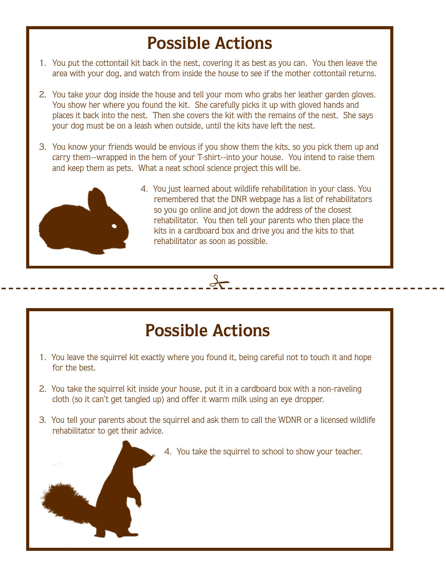- 1. You put the cottontail kit back in the nest, covering it as best as you can. You then leave the area with your dog, and watch from inside the house to see if the mother cottontail returns.
- 2. You take your dog inside the house and tell your mom who grabs her leather garden gloves. You show her where you found the kit. She carefully picks it up with gloved hands and places it back into the nest. Then she covers the kit with the remains of the nest. She says your dog must be on a leash when outside, until the kits have left the nest.
- 3. You know your friends would be envious if you show them the kits, so you pick them up and carry them--wrapped in the hem of your T-shirt--into your house. You intend to raise them and keep them as pets. What a neat school science project this will be.



4. You just learned about wildlife rehabilitation in your class. You remembered that the DNR webpage has a list of rehabilitators so you go online and jot down the address of the closest rehabilitator. You then tell your parents who then place the kits in a cardboard box and drive you and the kits to that rehabilitator as soon as possible.

## **Possible Actions**

 $rac{1}{2}$ 

- 1. You leave the squirrel kit exactly where you found it, being careful not to touch it and hope for the best.
- 2. You take the squirrel kit inside your house, put it in a cardboard box with a non-raveling cloth (so it can't get tangled up) and offer it warm milk using an eye dropper.
- 3. You tell your parents about the squirrel and ask them to call the WDNR or a licensed wildlife rehabilitator to get their advice.
	- 4. You take the squirrel to school to show your teacher.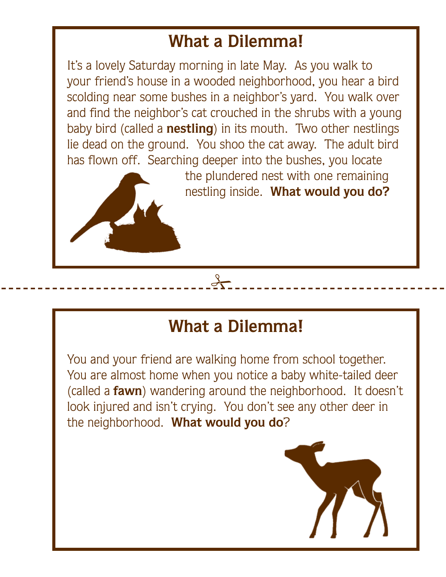It's a lovely Saturday morning in late May. As you walk to your friend's house in a wooded neighborhood, you hear a bird scolding near some bushes in a neighbor's yard. You walk over and find the neighbor's cat crouched in the shrubs with a young baby bird (called a **nestling**) in its mouth. Two other nestlings lie dead on the ground. You shoo the cat away. The adult bird has flown off. Searching deeper into the bushes, you locate



the plundered nest with one remaining nestling inside. **What would you do?**

#### **What a Dilemma!**

 $\frac{1}{2}$ 

You and your friend are walking home from school together. You are almost home when you notice a baby white-tailed deer (called a **fawn**) wandering around the neighborhood. It doesn't look injured and isn't crying. You don't see any other deer in the neighborhood. **What would you do**?

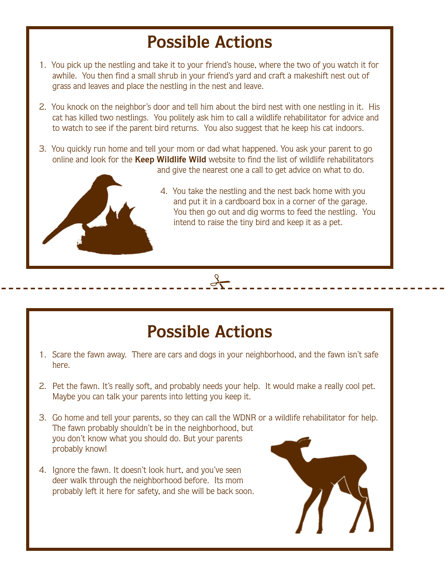- 1. You pick up the nestling and take it to your friend's house, where the two of you watch it for awhile. You then find a small shrub in your friend's yard and craft a makeshift nest out of grass and leaves and place the nestling in the nest and leave.
- 2. You knock on the neighbor's door and tell him about the bird nest with one nestling in it. His cat has killed two nestlings. You politely ask him to call a wildlife rehabilitator for advice and to watch to see if the parent bird returns. You also suggest that he keep his cat indoors.
- 3. You quickly run home and tell your mom or dad what happened. You ask your parent to go online and look for the **Keep Wildlife Wild** website to find the list of wildlife rehabilitators and give the nearest one a call to get advice on what to do.



4. You take the nestling and the nest back home with you and put it in a cardboard box in a corner of the garage. You then go out and dig worms to feed the nestling. You intend to raise the tiny bird and keep it as a pet.

### **Possible Actions**

 $\frac{1}{2}$ 

- 1. Scare the fawn away. There are cars and dogs in your neighborhood, and the fawn isn't safe here.
- 2. Pet the fawn. It's really soft, and probably needs your help. It would make a really cool pet. Maybe you can talk your parents into letting you keep it.
- 3. Go home and tell your parents, so they can call the WDNR or a wildlife rehabilitator for help. The fawn probably shouldn't be in the neighborhood, but you don't know what you should do. But your parents probably know!
- 4. Ignore the fawn. It doesn't look hurt, and you've seen deer walk through the neighborhood before. Its mom probably left it here for safety, and she will be back soon.

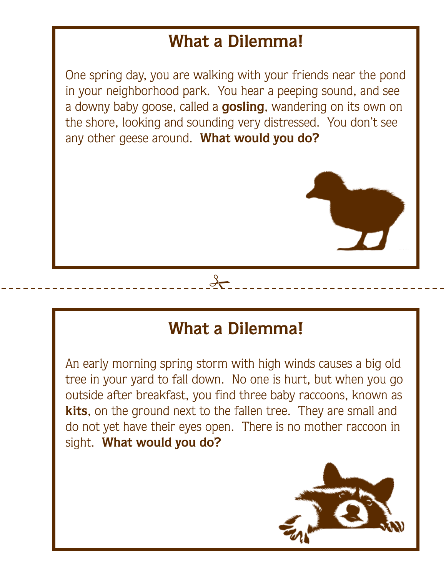One spring day, you are walking with your friends near the pond in your neighborhood park. You hear a peeping sound, and see a downy baby goose, called a **gosling**, wandering on its own on the shore, looking and sounding very distressed. You don't see any other geese around. **What would you do?**



 $rac{1}{2}$ 

An early morning spring storm with high winds causes a big old tree in your yard to fall down. No one is hurt, but when you go outside after breakfast, you find three baby raccoons, known as **kits**, on the ground next to the fallen tree. They are small and do not yet have their eyes open. There is no mother raccoon in sight. **What would you do?**

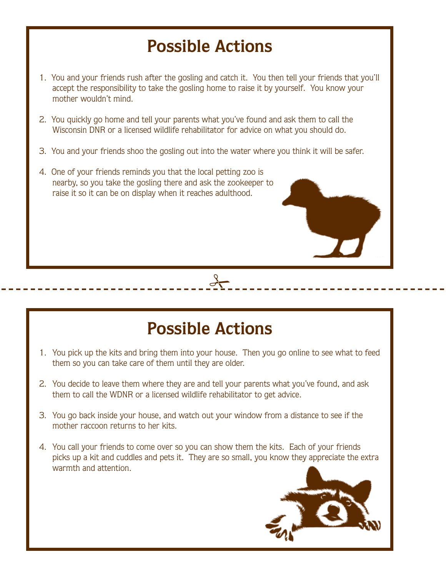- 1. You and your friends rush after the gosling and catch it. You then tell your friends that you'll accept the responsibility to take the gosling home to raise it by yourself. You know your mother wouldn't mind.
- 2. You quickly go home and tell your parents what you've found and ask them to call the Wisconsin DNR or a licensed wildlife rehabilitator for advice on what you should do.
- 3. You and your friends shoo the gosling out into the water where you think it will be safer.
- 4. One of your friends reminds you that the local petting zoo is nearby, so you take the gosling there and ask the zookeeper to raise it so it can be on display when it reaches adulthood.

#### **Possible Actions**

 $\rightarrow$ 

- 1. You pick up the kits and bring them into your house. Then you go online to see what to feed them so you can take care of them until they are older.
- 2. You decide to leave them where they are and tell your parents what you've found, and ask them to call the WDNR or a licensed wildlife rehabilitator to get advice.
- 3. You go back inside your house, and watch out your window from a distance to see if the mother raccoon returns to her kits.
- 4. You call your friends to come over so you can show them the kits. Each of your friends picks up a kit and cuddles and pets it. They are so small, you know they appreciate the extra warmth and attention.

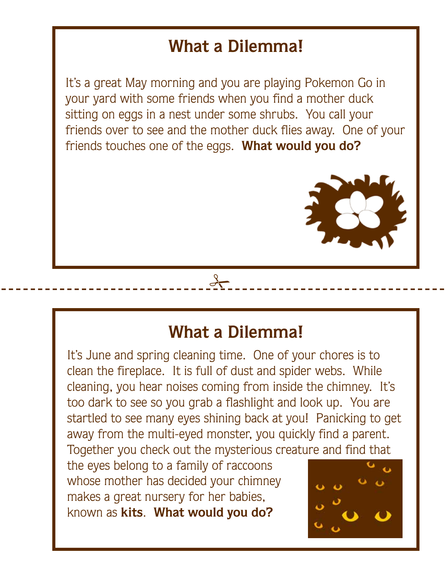It's a great May morning and you are playing Pokemon Go in your yard with some friends when you find a mother duck sitting on eggs in a nest under some shrubs. You call your friends over to see and the mother duck flies away. One of your friends touches one of the eggs. **What would you do?**



#### **What a Dilemma!**

 $\frac{1}{2}$ 

It's June and spring cleaning time. One of your chores is to clean the fireplace. It is full of dust and spider webs. While cleaning, you hear noises coming from inside the chimney. It's too dark to see so you grab a flashlight and look up. You are startled to see many eyes shining back at you! Panicking to get away from the multi-eyed monster, you quickly find a parent. Together you check out the mysterious creature and find that

the eyes belong to a family of raccoons whose mother has decided your chimney makes a great nursery for her babies, known as **kits**. **What would you do?**

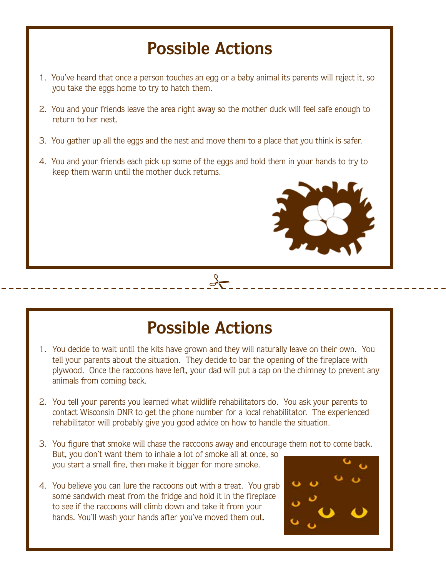- 1. You've heard that once a person touches an egg or a baby animal its parents will reject it, so you take the eggs home to try to hatch them.
- 2. You and your friends leave the area right away so the mother duck will feel safe enough to return to her nest.
- 3. You gather up all the eggs and the nest and move them to a place that you think is safer.
- 4. You and your friends each pick up some of the eggs and hold them in your hands to try to keep them warm until the mother duck returns.



#### **Possible Actions**

 $rac{1}{2}$ 

- 1. You decide to wait until the kits have grown and they will naturally leave on their own. You tell your parents about the situation. They decide to bar the opening of the fireplace with plywood. Once the raccoons have left, your dad will put a cap on the chimney to prevent any animals from coming back.
- 2. You tell your parents you learned what wildlife rehabilitators do. You ask your parents to contact Wisconsin DNR to get the phone number for a local rehabilitator. The experienced rehabilitator will probably give you good advice on how to handle the situation.
- 3. You figure that smoke will chase the raccoons away and encourage them not to come back. But, you don't want them to inhale a lot of smoke all at once, so you start a small fire, then make it bigger for more smoke.
- 4. You believe you can lure the raccoons out with a treat. You grab some sandwich meat from the fridge and hold it in the fireplace to see if the raccoons will climb down and take it from your hands. You'll wash your hands after you've moved them out.

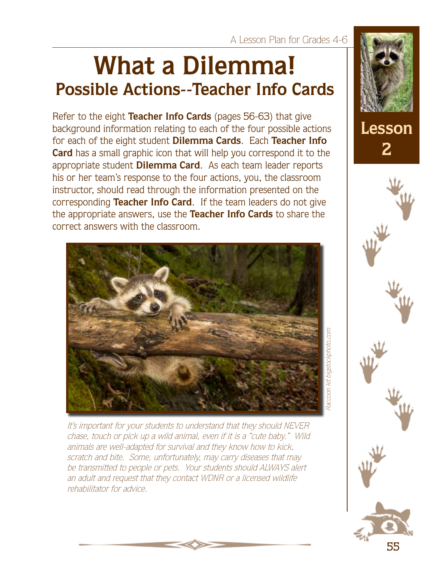# **What a Dilemma! Possible Actions--Teacher Info Cards**

Refer to the eight **Teacher Info Cards** (pages 56-63) that give background information relating to each of the four possible actions for each of the eight student **Dilemma Cards**. Each **Teacher Info Card** has a small graphic icon that will help you correspond it to the appropriate student **Dilemma Card**. As each team leader reports his or her team's response to the four actions, you, the classroom instructor, should read through the information presented on the corresponding **Teacher Info Card**. If the team leaders do not give the appropriate answers, use the **Teacher Info Cards** to share the correct answers with the classroom.



It's important for your students to understand that they should NEVER chase, touch or pick up a wild animal, even if it is a "cute baby." Wild animals are well-adapted for survival and they know how to kick, scratch and bite. Some, unfortunately, may carry diseases that may be transmitted to people or pets. Your students should ALWAYS alert an adult and request that they contact WDNR or a licensed wildlife rehabilitator for advice.

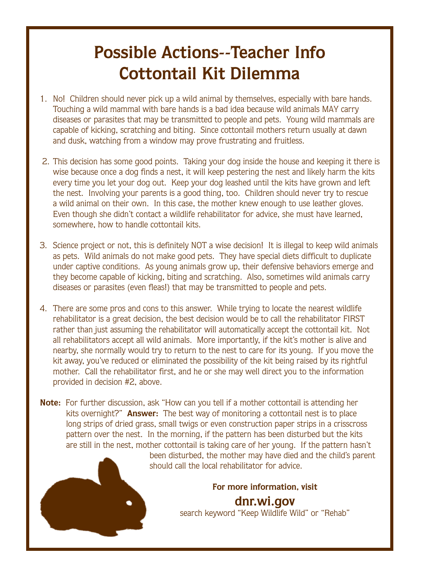#### **Possible Actions--Teacher Info Cottontail Kit Dilemma**

- 1. No! Children should never pick up a wild animal by themselves, especially with bare hands. Touching a wild mammal with bare hands is a bad idea because wild animals MAY carry diseases or parasites that may be transmitted to people and pets. Young wild mammals are capable of kicking, scratching and biting. Since cottontail mothers return usually at dawn and dusk, watching from a window may prove frustrating and fruitless.
- 2. This decision has some good points. Taking your dog inside the house and keeping it there is wise because once a dog finds a nest, it will keep pestering the nest and likely harm the kits every time you let your dog out. Keep your dog leashed until the kits have grown and left the nest. Involving your parents is a good thing, too. Children should never try to rescue a wild animal on their own. In this case, the mother knew enough to use leather gloves. Even though she didn't contact a wildlife rehabilitator for advice, she must have learned, somewhere, how to handle cottontail kits.
- 3. Science project or not, this is definitely NOT a wise decision! It is illegal to keep wild animals as pets. Wild animals do not make good pets. They have special diets difficult to duplicate under captive conditions. As young animals grow up, their defensive behaviors emerge and they become capable of kicking, biting and scratching. Also, sometimes wild animals carry diseases or parasites (even fleas!) that may be transmitted to people and pets.
- 4. There are some pros and cons to this answer. While trying to locate the nearest wildlife rehabilitator is a great decision, the best decision would be to call the rehabilitator FIRST rather than just assuming the rehabilitator will automatically accept the cottontail kit. Not all rehabilitators accept all wild animals. More importantly, if the kit's mother is alive and nearby, she normally would try to return to the nest to care for its young. If you move the kit away, you've reduced or eliminated the possibility of the kit being raised by its rightful mother. Call the rehabilitator first, and he or she may well direct you to the information provided in decision #2, above.
- **Note:** For further discussion, ask "How can you tell if a mother cottontail is attending her kits overnight?" **Answer:** The best way of monitoring a cottontail nest is to place long strips of dried grass, small twigs or even construction paper strips in a crisscross pattern over the nest. In the morning, if the pattern has been disturbed but the kits are still in the nest, mother cottontail is taking care of her young. If the pattern hasn't been disturbed, the mother may have died and the child's parent

should call the local rehabilitator for advice.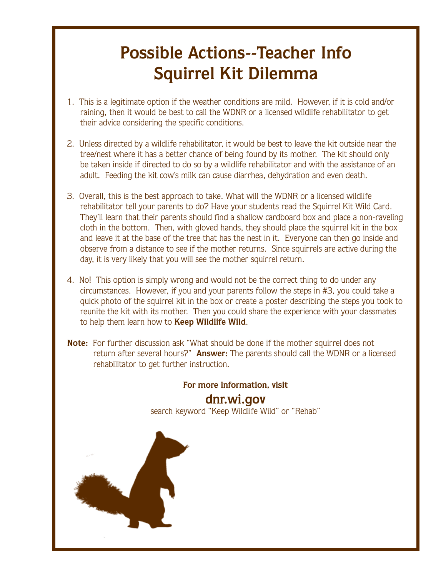## **Possible Actions--Teacher Info Squirrel Kit Dilemma**

- 1. This is a legitimate option if the weather conditions are mild. However, if it is cold and/or raining, then it would be best to call the WDNR or a licensed wildlife rehabilitator to get their advice considering the specific conditions.
- 2. Unless directed by a wildlife rehabilitator, it would be best to leave the kit outside near the tree/nest where it has a better chance of being found by its mother. The kit should only be taken inside if directed to do so by a wildlife rehabilitator and with the assistance of an adult. Feeding the kit cow's milk can cause diarrhea, dehydration and even death.
- 3. Overall, this is the best approach to take. What will the WDNR or a licensed wildlife rehabilitator tell your parents to do? Have your students read the Squirrel Kit Wild Card. They'll learn that their parents should find a shallow cardboard box and place a non-raveling cloth in the bottom. Then, with gloved hands, they should place the squirrel kit in the box and leave it at the base of the tree that has the nest in it. Everyone can then go inside and observe from a distance to see if the mother returns. Since squirrels are active during the day, it is very likely that you will see the mother squirrel return.
- 4. No! This option is simply wrong and would not be the correct thing to do under any circumstances. However, if you and your parents follow the steps in #3, you could take a quick photo of the squirrel kit in the box or create a poster describing the steps you took to reunite the kit with its mother. Then you could share the experience with your classmates to help them learn how to **Keep Wildlife Wild**.
- **Note:** For further discussion ask "What should be done if the mother squirrel does not return after several hours?" **Answer:** The parents should call the WDNR or a licensed rehabilitator to get further instruction.

![](_page_13_Picture_7.jpeg)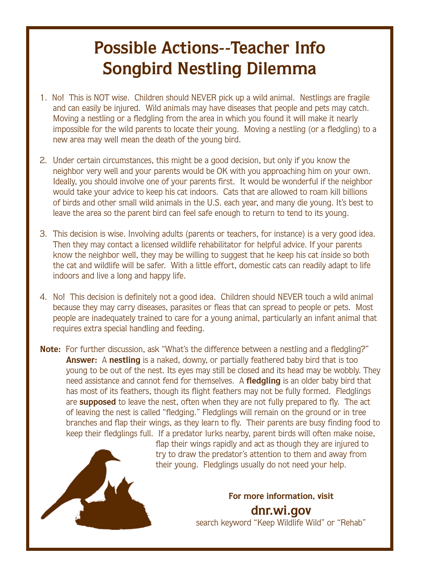#### **Possible Actions--Teacher Info Songbird Nestling Dilemma**

- 1. No! This is NOT wise. Children should NEVER pick up a wild animal. Nestlings are fragile and can easily be injured. Wild animals may have diseases that people and pets may catch. Moving a nestling or a fledgling from the area in which you found it will make it nearly impossible for the wild parents to locate their young. Moving a nestling (or a fledgling) to a new area may well mean the death of the young bird.
- 2. Under certain circumstances, this might be a good decision, but only if you know the neighbor very well and your parents would be OK with you approaching him on your own. Ideally, you should involve one of your parents first. It would be wonderful if the neighbor would take your advice to keep his cat indoors. Cats that are allowed to roam kill billions of birds and other small wild animals in the U.S. each year, and many die young. It's best to leave the area so the parent bird can feel safe enough to return to tend to its young.
- 3. This decision is wise. Involving adults (parents or teachers, for instance) is a very good idea. Then they may contact a licensed wildlife rehabilitator for helpful advice. If your parents know the neighbor well, they may be willing to suggest that he keep his cat inside so both the cat and wildlife will be safer. With a little effort, domestic cats can readily adapt to life indoors and live a long and happy life.
- 4. No! This decision is definitely not a good idea. Children should NEVER touch a wild animal because they may carry diseases, parasites or fleas that can spread to people or pets. Most people are inadequately trained to care for a young animal, particularly an infant animal that requires extra special handling and feeding.
- **Note:** For further discussion, ask "What's the difference between a nestling and a fledgling?" **Answer:** A **nestling** is a naked, downy, or partially feathered baby bird that is too young to be out of the nest. Its eyes may still be closed and its head may be wobbly. They need assistance and cannot fend for themselves. A **fledgling** is an older baby bird that has most of its feathers, though its flight feathers may not be fully formed. Fledglings are **supposed** to leave the nest, often when they are not fully prepared to fly. The act of leaving the nest is called "fledging." Fledglings will remain on the ground or in tree branches and flap their wings, as they learn to fly. Their parents are busy finding food to keep their fledglings full. If a predator lurks nearby, parent birds will often make noise,

![](_page_14_Picture_6.jpeg)

flap their wings rapidly and act as though they are injured to try to draw the predator's attention to them and away from their young. Fledglings usually do not need your help.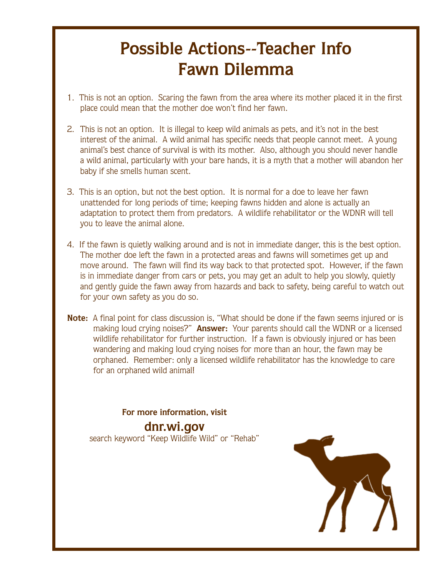## **Possible Actions--Teacher Info Fawn Dilemma**

- 1. This is not an option. Scaring the fawn from the area where its mother placed it in the first place could mean that the mother doe won't find her fawn.
- 2. This is not an option. It is illegal to keep wild animals as pets, and it's not in the best interest of the animal. A wild animal has specific needs that people cannot meet. A young animal's best chance of survival is with its mother. Also, although you should never handle a wild animal, particularly with your bare hands, it is a myth that a mother will abandon her baby if she smells human scent.
- 3. This is an option, but not the best option. It is normal for a doe to leave her fawn unattended for long periods of time; keeping fawns hidden and alone is actually an adaptation to protect them from predators. A wildlife rehabilitator or the WDNR will tell you to leave the animal alone.
- 4. If the fawn is quietly walking around and is not in immediate danger, this is the best option. The mother doe left the fawn in a protected areas and fawns will sometimes get up and move around. The fawn will find its way back to that protected spot. However, if the fawn is in immediate danger from cars or pets, you may get an adult to help you slowly, quietly and gently guide the fawn away from hazards and back to safety, being careful to watch out for your own safety as you do so.
- **Note:** A final point for class discussion is, "What should be done if the fawn seems injured or is making loud crying noises?" **Answer:** Your parents should call the WDNR or a licensed wildlife rehabilitator for further instruction. If a fawn is obviously injured or has been wandering and making loud crying noises for more than an hour, the fawn may be orphaned. Remember: only a licensed wildlife rehabilitator has the knowledge to care for an orphaned wild animal!

![](_page_15_Picture_7.jpeg)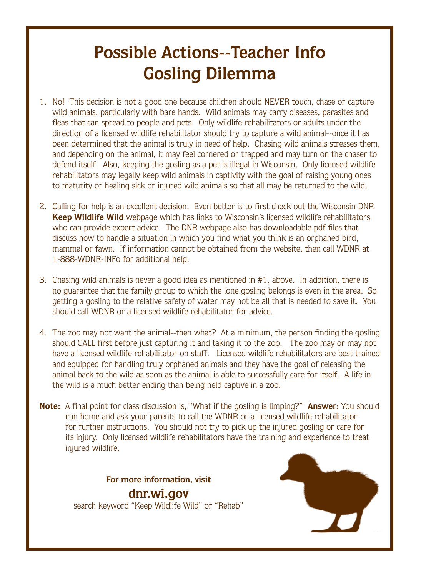#### **Possible Actions--Teacher Info Gosling Dilemma**

- 1. No! This decision is not a good one because children should NEVER touch, chase or capture wild animals, particularly with bare hands. Wild animals may carry diseases, parasites and fleas that can spread to people and pets. Only wildlife rehabilitators or adults under the direction of a licensed wildlife rehabilitator should try to capture a wild animal--once it has been determined that the animal is truly in need of help. Chasing wild animals stresses them, and depending on the animal, it may feel cornered or trapped and may turn on the chaser to defend itself. Also, keeping the gosling as a pet is illegal in Wisconsin. Only licensed wildlife rehabilitators may legally keep wild animals in captivity with the goal of raising young ones to maturity or healing sick or injured wild animals so that all may be returned to the wild.
- 2. Calling for help is an excellent decision. Even better is to first check out the Wisconsin DNR **Keep Wildlife Wild** webpage which has links to Wisconsin's licensed wildlife rehabilitators who can provide expert advice. The DNR webpage also has downloadable pdf files that discuss how to handle a situation in which you find what you think is an orphaned bird, mammal or fawn. If information cannot be obtained from the website, then call WDNR at 1-888-WDNR-INFo for additional help.
- 3. Chasing wild animals is never a good idea as mentioned in #1, above. In addition, there is no guarantee that the family group to which the lone gosling belongs is even in the area. So getting a gosling to the relative safety of water may not be all that is needed to save it. You should call WDNR or a licensed wildlife rehabilitator for advice.
- 4. The zoo may not want the animal--then what? At a minimum, the person finding the gosling should CALL first before just capturing it and taking it to the zoo. The zoo may or may not have a licensed wildlife rehabilitator on staff. Licensed wildlife rehabilitators are best trained and equipped for handling truly orphaned animals and they have the goal of releasing the animal back to the wild as soon as the animal is able to successfully care for itself. A life in the wild is a much better ending than being held captive in a zoo.
- **Note:** A final point for class discussion is, "What if the gosling is limping?" **Answer:** You should run home and ask your parents to call the WDNR or a licensed wildlife rehabilitator for further instructions. You should not try to pick up the injured gosling or care for its injury. Only licensed wildlife rehabilitators have the training and experience to treat injured wildlife.

![](_page_16_Picture_7.jpeg)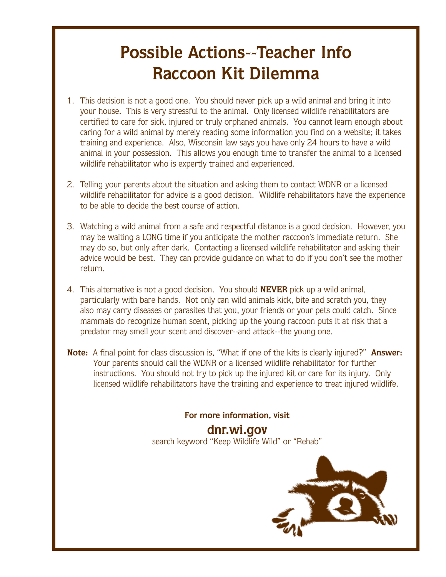#### **Possible Actions--Teacher Info Raccoon Kit Dilemma**

- 1. This decision is not a good one. You should never pick up a wild animal and bring it into your house. This is very stressful to the animal. Only licensed wildlife rehabilitators are certified to care for sick, injured or truly orphaned animals. You cannot learn enough about caring for a wild animal by merely reading some information you find on a website; it takes training and experience. Also, Wisconsin law says you have only 24 hours to have a wild animal in your possession. This allows you enough time to transfer the animal to a licensed wildlife rehabilitator who is expertly trained and experienced.
- 2. Telling your parents about the situation and asking them to contact WDNR or a licensed wildlife rehabilitator for advice is a good decision. Wildlife rehabilitators have the experience to be able to decide the best course of action.
- 3. Watching a wild animal from a safe and respectful distance is a good decision. However, you may be waiting a LONG time if you anticipate the mother raccoon's immediate return. She may do so, but only after dark. Contacting a licensed wildlife rehabilitator and asking their advice would be best. They can provide guidance on what to do if you don't see the mother return.
- 4. This alternative is not a good decision. You should **NEVER** pick up a wild animal, particularly with bare hands. Not only can wild animals kick, bite and scratch you, they also may carry diseases or parasites that you, your friends or your pets could catch. Since mammals do recognize human scent, picking up the young raccoon puts it at risk that a predator may smell your scent and discover--and attack--the young one.
- **Note:** A final point for class discussion is, "What if one of the kits is clearly injured?" **Answer:**  Your parents should call the WDNR or a licensed wildlife rehabilitator for further instructions. You should not try to pick up the injured kit or care for its injury. Only licensed wildlife rehabilitators have the training and experience to treat injured wildlife.

**For more information, visit** 

**dnr.wi.gov** search keyword "Keep Wildlife Wild" or "Rehab"

![](_page_17_Picture_8.jpeg)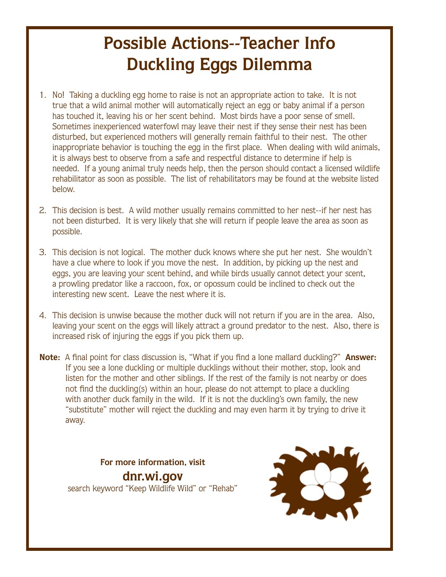## **Possible Actions--Teacher Info Duckling Eggs Dilemma**

- 1. No! Taking a duckling egg home to raise is not an appropriate action to take. It is not true that a wild animal mother will automatically reject an egg or baby animal if a person has touched it, leaving his or her scent behind. Most birds have a poor sense of smell. Sometimes inexperienced waterfowl may leave their nest if they sense their nest has been disturbed, but experienced mothers will generally remain faithful to their nest. The other inappropriate behavior is touching the egg in the first place. When dealing with wild animals, it is always best to observe from a safe and respectful distance to determine if help is needed. If a young animal truly needs help, then the person should contact a licensed wildlife rehabilitator as soon as possible. The list of rehabilitators may be found at the website listed below.
- 2. This decision is best. A wild mother usually remains committed to her nest--if her nest has not been disturbed. It is very likely that she will return if people leave the area as soon as possible.
- 3. This decision is not logical. The mother duck knows where she put her nest. She wouldn't have a clue where to look if you move the nest. In addition, by picking up the nest and eggs, you are leaving your scent behind, and while birds usually cannot detect your scent, a prowling predator like a raccoon, fox, or opossum could be inclined to check out the interesting new scent. Leave the nest where it is.
- 4. This decision is unwise because the mother duck will not return if you are in the area. Also, leaving your scent on the eggs will likely attract a ground predator to the nest. Also, there is increased risk of injuring the eggs if you pick them up.
- **Note:** A final point for class discussion is, "What if you find a lone mallard duckling?" **Answer:**  If you see a lone duckling or multiple ducklings without their mother, stop, look and listen for the mother and other siblings. If the rest of the family is not nearby or does not find the duckling(s) within an hour, please do not attempt to place a duckling with another duck family in the wild. If it is not the duckling's own family, the new "substitute" mother will reject the duckling and may even harm it by trying to drive it away.

![](_page_18_Picture_7.jpeg)